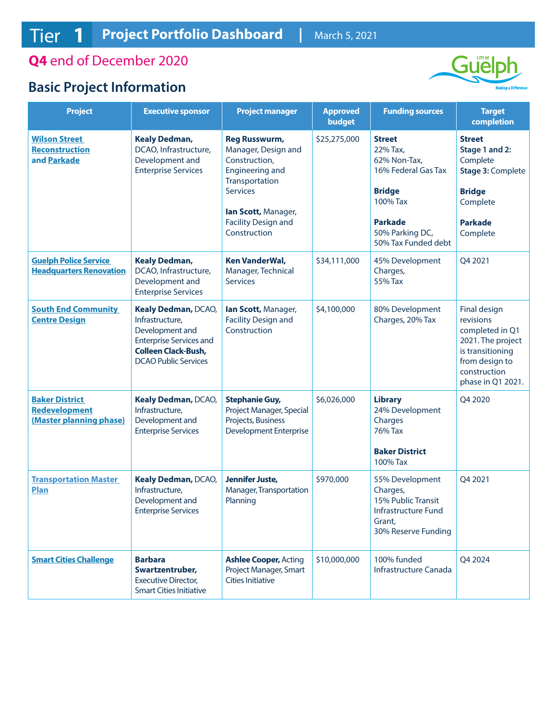**Q4** end of December 2020

## **Basic Project Information**



| <b>Project</b>                                                           | <b>Executive sponsor</b>                                                                                                                                        | <b>Project manager</b>                                                                                                                                                                           | <b>Approved</b><br>budget | <b>Funding sources</b>                                                                                                                                    | <b>Target</b><br>completion                                                                                                                  |
|--------------------------------------------------------------------------|-----------------------------------------------------------------------------------------------------------------------------------------------------------------|--------------------------------------------------------------------------------------------------------------------------------------------------------------------------------------------------|---------------------------|-----------------------------------------------------------------------------------------------------------------------------------------------------------|----------------------------------------------------------------------------------------------------------------------------------------------|
| <b>Wilson Street</b><br><b>Reconstruction</b><br>and Parkade             | <b>Kealy Dedman,</b><br>DCAO, Infrastructure,<br>Development and<br><b>Enterprise Services</b>                                                                  | <b>Reg Russwurm,</b><br>Manager, Design and<br>Construction,<br><b>Engineering and</b><br>Transportation<br><b>Services</b><br>lan Scott, Manager,<br><b>Facility Design and</b><br>Construction | \$25,275,000              | <b>Street</b><br>22% Tax,<br>62% Non-Tax,<br>16% Federal Gas Tax<br><b>Bridge</b><br>100% Tax<br><b>Parkade</b><br>50% Parking DC,<br>50% Tax Funded debt | <b>Street</b><br>Stage 1 and 2:<br>Complete<br>Stage 3: Complete<br><b>Bridge</b><br>Complete<br><b>Parkade</b><br>Complete                  |
| <b>Guelph Police Service</b><br><b>Headquarters Renovation</b>           | <b>Kealy Dedman,</b><br>DCAO, Infrastructure,<br>Development and<br><b>Enterprise Services</b>                                                                  | <b>Ken VanderWal,</b><br>Manager, Technical<br><b>Services</b>                                                                                                                                   | \$34,111,000              | 45% Development<br>Charges,<br>55% Tax                                                                                                                    | Q4 2021                                                                                                                                      |
| <b>South End Community</b><br><b>Centre Design</b>                       | <b>Kealy Dedman, DCAO,</b><br>Infrastructure,<br>Development and<br><b>Enterprise Services and</b><br><b>Colleen Clack-Bush,</b><br><b>DCAO Public Services</b> | lan Scott, Manager,<br><b>Facility Design and</b><br>Construction                                                                                                                                | \$4,100,000               | 80% Development<br>Charges, 20% Tax                                                                                                                       | Final design<br>revisions<br>completed in Q1<br>2021. The project<br>is transitioning<br>from design to<br>construction<br>phase in Q1 2021. |
| <b>Baker District</b><br><b>Redevelopment</b><br>(Master planning phase) | Kealy Dedman, DCAO,<br>Infrastructure,<br>Development and<br><b>Enterprise Services</b>                                                                         | <b>Stephanie Guy,</b><br>Project Manager, Special<br>Projects, Business<br><b>Development Enterprise</b>                                                                                         | \$6,026,000               | <b>Library</b><br>24% Development<br>Charges<br>76% Tax<br><b>Baker District</b><br>100% Tax                                                              | Q4 2020                                                                                                                                      |
| <b>Transportation Master</b><br><b>Plan</b>                              | Kealy Dedman, DCAO,<br>Infrastructure,<br>Development and<br><b>Enterprise Services</b>                                                                         | Jennifer Juste,<br>Manager, Transportation<br>Planning                                                                                                                                           | \$970,000                 | 55% Development<br>Charges,<br>15% Public Transit<br>Infrastructure Fund<br>Grant,<br>30% Reserve Funding                                                 | Q4 2021                                                                                                                                      |
| <b>Smart Cities Challenge</b>                                            | <b>Barbara</b><br>Swartzentruber,<br><b>Executive Director,</b><br><b>Smart Cities Initiative</b>                                                               | <b>Ashlee Cooper, Acting</b><br>Project Manager, Smart<br><b>Cities Initiative</b>                                                                                                               | \$10,000,000              | 100% funded<br>Infrastructure Canada                                                                                                                      | Q4 2024                                                                                                                                      |